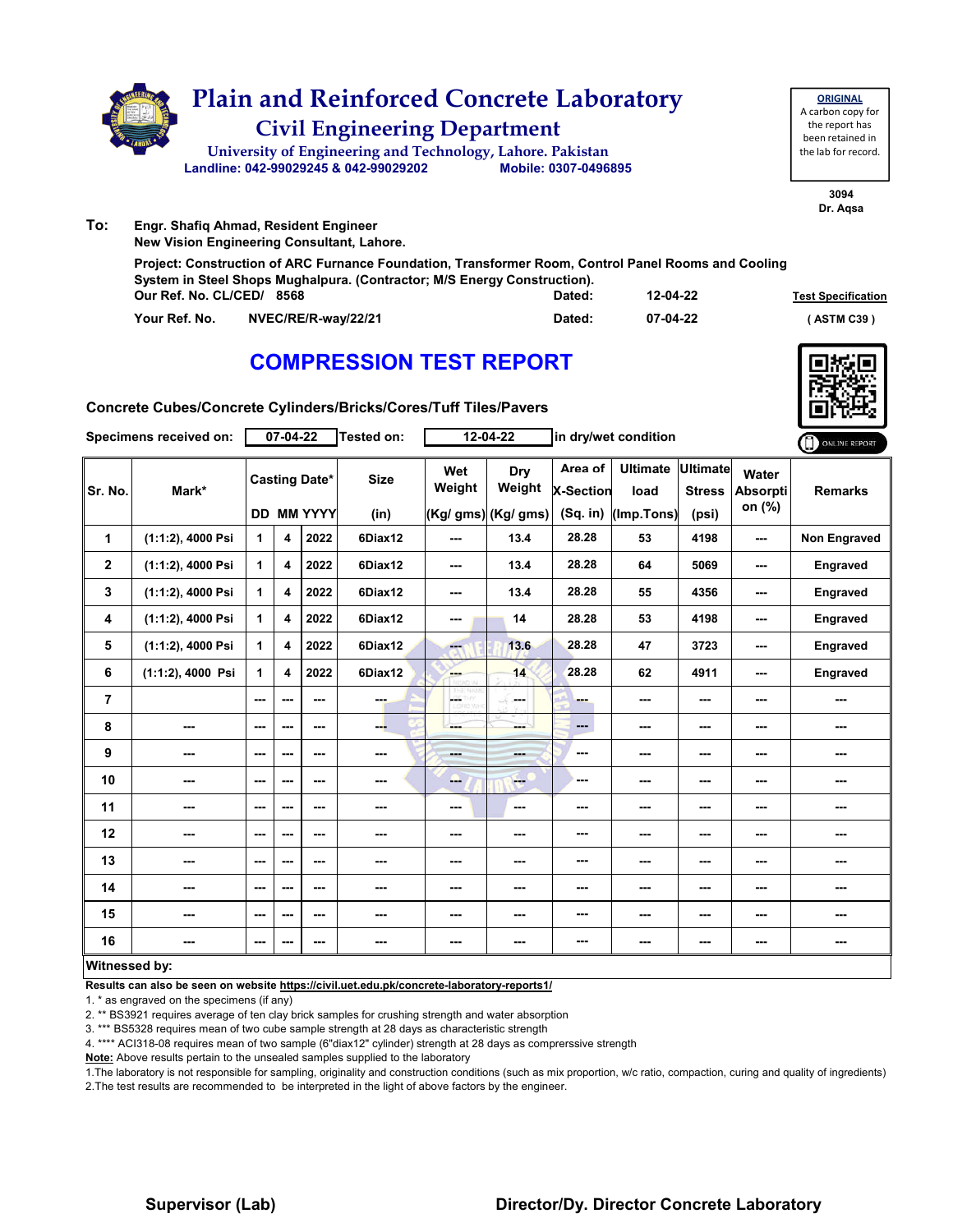

|                           | System in Steel Shops Mughapura. (Contractor, M/S Energy Construction). |        |          |                           |  |  |
|---------------------------|-------------------------------------------------------------------------|--------|----------|---------------------------|--|--|
| Our Ref. No. CL/CED/ 8568 |                                                                         | Dated: | 12-04-22 | <b>Test Specification</b> |  |  |
| Your Ref. No.             | NVEC/RE/R-wav/22/21                                                     | Dated: | 07-04-22 | (ASTM C39)                |  |  |

## **COMPRESSION TEST REPORT**



**Concrete Cubes/Concrete Cylinders/Bricks/Cores/Tuff Tiles/Pavers**

| Specimens received on:  |                      | 07-04-22     |                         |                                           | <b>Tested on:</b>   | 12-04-22                 |                                              | in dry/wet condition               |                                       |                                    |                                    | ONLINE REPORT       |
|-------------------------|----------------------|--------------|-------------------------|-------------------------------------------|---------------------|--------------------------|----------------------------------------------|------------------------------------|---------------------------------------|------------------------------------|------------------------------------|---------------------|
| Sr. No.                 | Mark*                |              |                         | <b>Casting Date*</b><br><b>DD MM YYYY</b> | <b>Size</b><br>(in) | Wet<br>Weight            | <b>Dry</b><br>Weight<br>$(Kg/gms)$ (Kg/ gms) | Area of<br>X-Section<br>$(Sq.$ in) | <b>Ultimate</b><br>load<br>(Imp.Tons) | Ultimate<br><b>Stress</b><br>(psi) | Water<br><b>Absorpti</b><br>on (%) | <b>Remarks</b>      |
| 1                       | (1:1:2), 4000 Psi    | $\mathbf{1}$ | 4                       | 2022                                      | 6Diax12             | ---                      | 13.4                                         | 28.28                              | 53                                    | 4198                               | ---                                | <b>Non Engraved</b> |
| $\overline{\mathbf{2}}$ | (1:1:2), 4000 Psi    | $\mathbf{1}$ | $\overline{\mathbf{4}}$ | 2022                                      | 6Diax12             | $\overline{\phantom{a}}$ | 13.4                                         | 28.28                              | 64                                    | 5069                               | ---                                | Engraved            |
| 3                       | (1:1:2), 4000 Psi    | $\mathbf{1}$ | $\overline{\mathbf{4}}$ | 2022                                      | 6Diax12             | $--$                     | 13.4                                         | 28.28                              | 55                                    | 4356                               | ---                                | <b>Engraved</b>     |
| 4                       | (1:1:2), 4000 Psi    | $\mathbf{1}$ | 4                       | 2022                                      | 6Diax12             | ---                      | 14                                           | 28.28                              | 53                                    | 4198                               | ---                                | <b>Engraved</b>     |
| 5                       | (1:1:2), 4000 Psi    | $\mathbf{1}$ | $\overline{\mathbf{4}}$ | 2022                                      | 6Diax12             | ---                      | 13.6                                         | 28.28                              | 47                                    | 3723                               | ---                                | <b>Engraved</b>     |
| 6                       | $(1:1:2)$ , 4000 Psi | 1            | $\overline{\mathbf{4}}$ | 2022                                      | 6Diax12             | <b>Barnet</b>            | 14                                           | 28.28                              | 62                                    | 4911                               | ---                                | Engraved            |
| $\overline{7}$          |                      | $- - -$      | $- - -$                 | ---                                       | ---                 | L.                       | محمد                                         | --                                 | ---                                   | ---                                | ---                                | ---                 |
| 8                       | ---                  | ---          | $--$                    | $--$                                      | ---                 | ---                      | ---                                          | $\qquad \qquad \cdots$             | ---                                   | ---                                |                                    | ---                 |
| 9                       | ---                  | $--$         | $--$                    | ---                                       | ---                 | <b>Hotel</b>             | ---                                          | $\overline{\phantom{a}}$           | $\overline{\phantom{a}}$              | ---                                | ---                                |                     |
| 10                      | ---                  | $\cdots$     | ---                     | ---                                       | ---                 | ---                      | $-$                                          | ---                                | ---                                   | ---                                | ---                                | ---                 |
| 11                      | ---                  | ---          | ---                     | ---                                       | ---                 | ---                      | ---                                          | ---                                | ---                                   | ---                                | ---                                | ---                 |
| 12                      | ---                  | $- - -$      | ---                     | $- - -$                                   | ---                 | ---                      | ---                                          | ---                                | ---                                   | ---                                | ---                                | ---                 |
| 13                      | ---                  | ---          | ---                     | ---                                       | ---                 | ---                      | ---                                          | ---                                | ---                                   | ---                                | ---                                | ---                 |
| 14                      | ---                  | ---          | ---                     | ---                                       | ---                 | $--$                     | ---                                          | ---                                | ---                                   | ---                                | ---                                | ---                 |
| 15                      | ---                  | ---          | ---                     | ---                                       | ---                 | ---                      | ---                                          | ---                                | ---                                   | ---                                |                                    |                     |
| 16                      |                      | ---          | ---                     | ---                                       | ---                 | $\sim$                   | ---                                          | ---                                | ---                                   | ---                                | $\cdots$                           | ---                 |
| Witnessed by:           |                      |              |                         |                                           |                     |                          |                                              |                                    |                                       |                                    |                                    |                     |

### **Witnessed by:**

**Results can also be seen on website https://civil.uet.edu.pk/concrete-laboratory-reports1/**

1. \* as engraved on the specimens (if any)

2. \*\* BS3921 requires average of ten clay brick samples for crushing strength and water absorption

3. \*\*\* BS5328 requires mean of two cube sample strength at 28 days as characteristic strength

4. \*\*\*\* ACI318-08 requires mean of two sample (6"diax12" cylinder) strength at 28 days as comprerssive strength

**Note:** Above results pertain to the unsealed samples supplied to the laboratory

1.The laboratory is not responsible for sampling, originality and construction conditions (such as mix proportion, w/c ratio, compaction, curing and quality of ingredients) 2.The test results are recommended to be interpreted in the light of above factors by the engineer.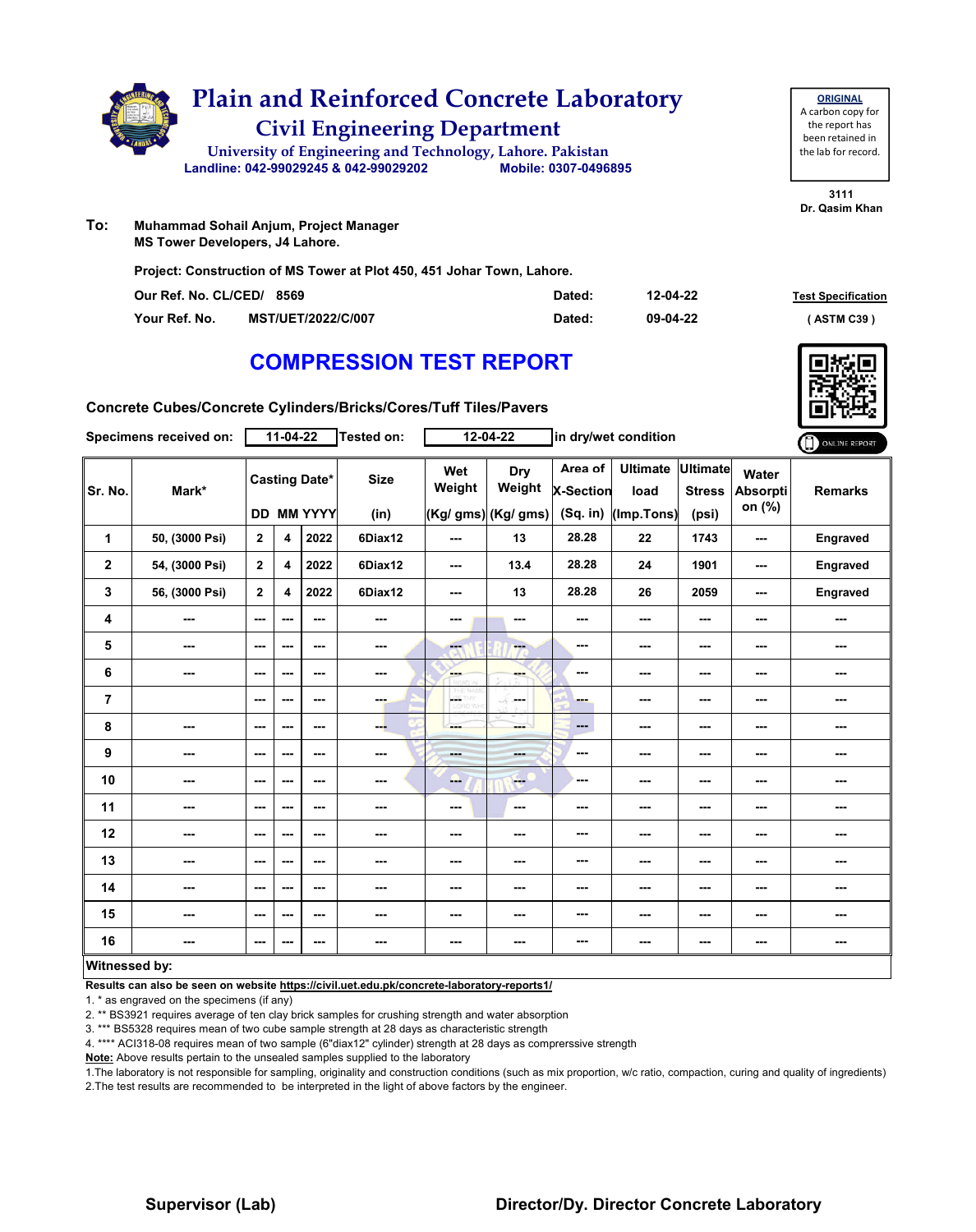

**ORIGINAL** A carbon copy for the report has been retained in the lab for record.

**3111 Dr. Qasim Khan**

**To: Muhammad Sohail Anjum, Project Manager MS Tower Developers, J4 Lahore.**

**Project: Construction of MS Tower at Plot 450, 451 Johar Town, Lahore.**

| Our Ref. No. CL/CED/ 8569 |                           | Dated: | 12-04-22 | <b>Test Specification</b> |
|---------------------------|---------------------------|--------|----------|---------------------------|
| Your Ref. No.             | <b>MST/UET/2022/C/007</b> | Dated: | 09-04-22 | ASTM C39                  |

# **COMPRESSION TEST REPORT**

| Concrete Cubes/Concrete Cylinders/Bricks/Cores/Tuff Tiles/Pavers |  |
|------------------------------------------------------------------|--|
|------------------------------------------------------------------|--|

| Specimens received on: |                | $11-04-22$   |                         |                                           | <b>Tested on:</b>   | 12-04-22                |                                      | in dry/wet condition                      |                                       |                                    |                                    | ONLINE REPORT  |
|------------------------|----------------|--------------|-------------------------|-------------------------------------------|---------------------|-------------------------|--------------------------------------|-------------------------------------------|---------------------------------------|------------------------------------|------------------------------------|----------------|
| Sr. No.                | Mark*          |              |                         | <b>Casting Date*</b><br><b>DD MM YYYY</b> | <b>Size</b><br>(in) | Wet<br>Weight           | Dry<br>Weight<br>(Kg/ gms) (Kg/ gms) | Area of<br><b>X-Section</b><br>$(Sq.$ in) | <b>Ultimate</b><br>load<br>(Imp.Tons) | Ultimate<br><b>Stress</b><br>(psi) | Water<br><b>Absorpti</b><br>on (%) | <b>Remarks</b> |
| 1                      | 50, (3000 Psi) | $\mathbf{2}$ | 4                       | 2022                                      | 6Diax12             | ---                     | 13                                   | 28.28                                     | 22                                    | 1743                               | ---                                | Engraved       |
| $\mathbf 2$            | 54, (3000 Psi) | $\mathbf{2}$ | $\overline{\mathbf{4}}$ | 2022                                      | 6Diax12             | ---                     | 13.4                                 | 28.28                                     | 24                                    | 1901                               | ---                                | Engraved       |
| 3                      | 56, (3000 Psi) | $\mathbf{2}$ | 4                       | 2022                                      | 6Diax12             | ---                     | 13                                   | 28.28                                     | 26                                    | 2059                               | ---                                | Engraved       |
| 4                      | ---            | ---          | $--$                    | $\overline{\phantom{a}}$                  | ---                 | ---                     | ---                                  | ---                                       | ---                                   | ---                                | ---                                | ---            |
| 5                      | ---            | $--$         | ---                     | ---                                       | ---                 | ---                     | --                                   | ---                                       | ---                                   | ---                                | ---                                | ---            |
| 6                      | ---            | $--$         | $--$                    | ---                                       | ---                 | --                      | ---                                  | ---                                       | ---                                   | ---                                | ---                                | ---            |
| $\overline{7}$         |                | ---          | ---                     | ---                                       | ---                 | <b>CETHY</b><br>LORD WH | تكت<br>---                           | ---                                       | ---                                   | ---                                |                                    | ---            |
| 8                      | ---            | $--$         | $--$                    | ---                                       | --                  | ---                     | ---                                  | $\qquad \qquad \cdots$                    | ---                                   | ---                                | ---                                | ---            |
| 9                      | ---            | $--$         | ---                     | ---                                       | ---                 | <b>House</b>            | <b>START</b>                         | ---                                       | ---                                   | ---                                | ---                                | ---            |
| 10                     | ---            | $--$         | ---                     | ---                                       | ---                 | --                      | <b>Fee</b>                           | ---                                       | ---                                   | ---                                | ---                                | ---            |
| 11                     | ---            | ---          | ---                     | ---                                       | ---                 | ---                     | $\sim$                               | ---                                       | ---                                   | ---                                | ---                                | ---            |
| 12                     | ---            | ---          | ---                     | ---                                       | ---                 | ---                     | ---                                  | ---                                       | ---                                   | ---                                | ---                                | ---            |
| 13                     | ---            | $--$         | ---                     | ---                                       | ---                 | ---                     | ---                                  | ---                                       | ---                                   | ---                                | ---                                | ---            |
| 14                     | ---            | ---          | ---                     | ---                                       | ---                 | ---                     | ---                                  | ---                                       | ---                                   | ---                                |                                    | ---            |
| 15                     | ---            | ---          | ---                     | ---                                       | ---                 | ---                     | ---                                  | ---                                       | ---                                   | ---                                | ---                                | ---            |
| 16                     | ---            | ---          | ---                     | ---                                       | ---                 | ---                     | ---                                  | ---                                       | ---                                   | ---                                | ---                                | ---            |
| Witnossod hy           |                |              |                         |                                           |                     |                         |                                      |                                           |                                       |                                    |                                    |                |

### **Witnessed by:**

**Results can also be seen on website https://civil.uet.edu.pk/concrete-laboratory-reports1/**

1. \* as engraved on the specimens (if any)

2. \*\* BS3921 requires average of ten clay brick samples for crushing strength and water absorption

3. \*\*\* BS5328 requires mean of two cube sample strength at 28 days as characteristic strength

4. \*\*\*\* ACI318-08 requires mean of two sample (6"diax12" cylinder) strength at 28 days as comprerssive strength

**Note:** Above results pertain to the unsealed samples supplied to the laboratory

1.The laboratory is not responsible for sampling, originality and construction conditions (such as mix proportion, w/c ratio, compaction, curing and quality of ingredients) 2.The test results are recommended to be interpreted in the light of above factors by the engineer.